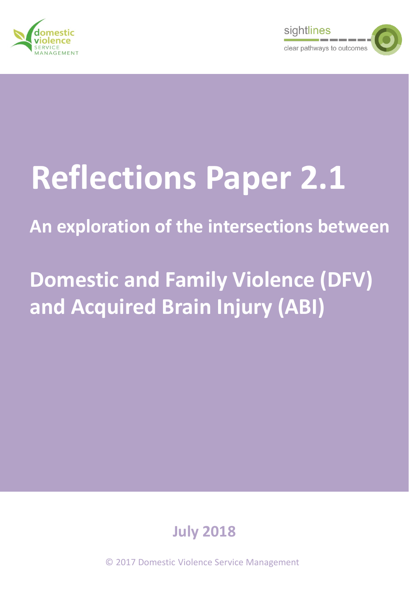



# **Reflections Paper 2.1**

## **An exploration of the intersections between**

## **Domestic and Family Violence (DFV) and Acquired Brain Injury (ABI)**



© 2017 Domestic Violence Service Management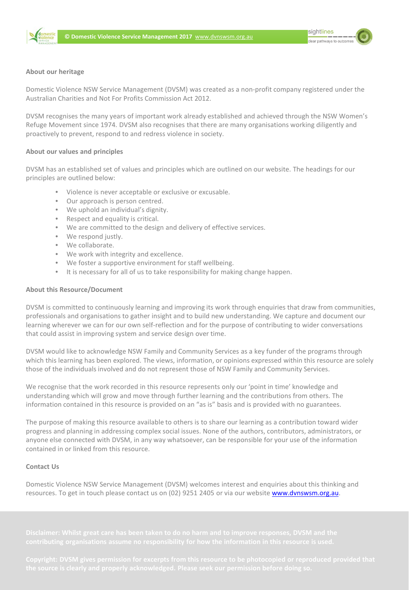



#### **About our heritage**

Domestic Violence NSW Service Management (DVSM) was created as a non-profit company registered under the Australian Charities and Not For Profits Commission Act 2012.

DVSM recognises the many years of important work already established and achieved through the NSW Women's Refuge Movement since 1974. DVSM also recognises that there are many organisations working diligently and proactively to prevent, respond to and redress violence in society.

#### **About our values and principles**

DVSM has an established set of values and principles which are outlined on our website. The headings for our principles are outlined below:

- Violence is never acceptable or exclusive or excusable.
- Our approach is person centred.
- We uphold an individual's dignity.
- Respect and equality is critical.
- Respect and equality is critical.<br>• We are committed to the design and delivery of effect<br>• We respond justly. • We are committed to the design and delivery of effective services.
	- We respond justly.
	- We collaborate.
	- We work with integrity and excellence.
	- We foster a supportive environment for staff wellbeing.
	- It is necessary for all of us to take responsibility for making change happen.

## About this Resource/Document

DVSM is committed to continuously learning and improving its work through enquiries that draw from communities, professionals and organisations to gather insignt and to build new understanding. We capture and document our<br>learning wherever we can for our own self-reflection and for the purpose of contributing to wider conversations professionals and organisations to gather insight and to build new understanding. We capture and document our that could assist in improving system and service design over time.

DVSM would like to acknowledge NSW Family and Community Services as a key funder of the programs through which this learning has been explored. The views, information, or opinions expressed within this resource are solely those of the individuals involved and do not represent those of NSW Family and Community Services.

We recognise that the work recorded in this resource represents only our 'point in time' knowledge and understanding which will grow and move through further learning and the contributions from others. The information contained in this resource is provided on an "as is" basis and is provided with no guarantees.

The purpose of making this resource available to others is to share our learning as a contribution toward wider progress and planning in addressing complex social issues. None of the authors, contributors, administrators, or anyone else connected with DVSM, in any way whatsoever, can be responsible for your use of the information contained in or linked from this resource.

#### **Contact Us**

Domestic Violence NSW Service Management (DVSM) welcomes interest and enquiries about this thinking and resources. To get in touch please contact us on (02) 9251 2405 or via our website [www.dvnswsm.org.au](http://www.dvnswsm.org.au/).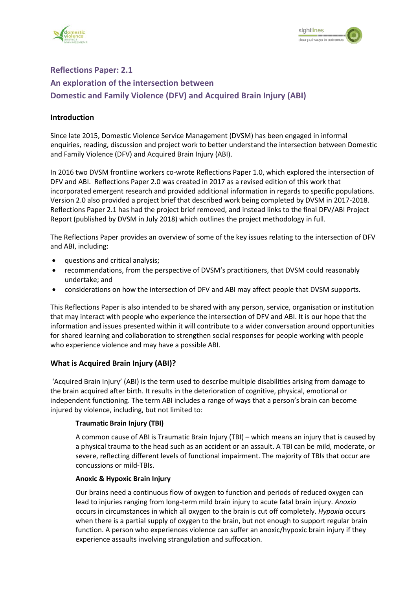



#### **Reflections Paper: 2.1 An exploration of the intersection between Domestic and Family Violence (DFV) and Acquired Brain Injury (ABI)**

#### **Introduction**

Since late 2015, Domestic Violence Service Management (DVSM) has been engaged in informal enquiries, reading, discussion and project work to better understand the intersection between Domestic and Family Violence (DFV) and Acquired Brain Injury (ABI).

In 2016 two DVSM frontline workers co-wrote Reflections Paper 1.0, which explored the intersection of DFV and ABI. Reflections Paper 2.0 was created in 2017 as a revised edition of this work that incorporated emergent research and provided additional information in regards to specific populations. Version 2.0 also provided a project brief that described work being completed by DVSM in 2017-2018. Reflections Paper 2.1 has had the project brief removed, and instead links to the final DFV/ABI Project Report (published by DVSM in July 2018) which outlines the project methodology in full.

The Reflections Paper provides an overview of some of the key issues relating to the intersection of DFV and ABI, including:

- questions and critical analysis;
- recommendations, from the perspective of DVSM's practitioners, that DVSM could reasonably undertake; and
- considerations on how the intersection of DFV and ABI may affect people that DVSM supports.

This Reflections Paper is also intended to be shared with any person, service, organisation or institution that may interact with people who experience the intersection of DFV and ABI. It is our hope that the information and issues presented within it will contribute to a wider conversation around opportunities for shared learning and collaboration to strengthen social responses for people working with people who experience violence and may have a possible ABI.

#### **What is Acquired Brain Injury (ABI)?**

'Acquired Brain Injury' (ABI) is the term used to describe multiple disabilities arising from damage to the brain acquired after birth. It results in the deterioration of cognitive, physical, emotional or independent functioning. The term ABI includes a range of ways that a person's brain can become injured by violence, including, but not limited to:

#### **Traumatic Brain Injury (TBI)**

A common cause of ABI is Traumatic Brain Injury (TBI) – which means an injury that is caused by a physical trauma to the head such as an accident or an assault. A TBI can be mild, moderate, or severe, reflecting different levels of functional impairment. The majority of TBIs that occur are concussions or mild-TBIs.

#### **Anoxic & Hypoxic Brain Injury**

Our brains need a continuous flow of oxygen to function and periods of reduced oxygen can lead to injuries ranging from long-term mild brain injury to acute fatal brain injury. *Anoxia*  occurs in circumstances in which all oxygen to the brain is cut off completely. *Hypoxia* occurs when there is a partial supply of oxygen to the brain, but not enough to support regular brain function. A person who experiences violence can suffer an anoxic/hypoxic brain injury if they experience assaults involving strangulation and suffocation.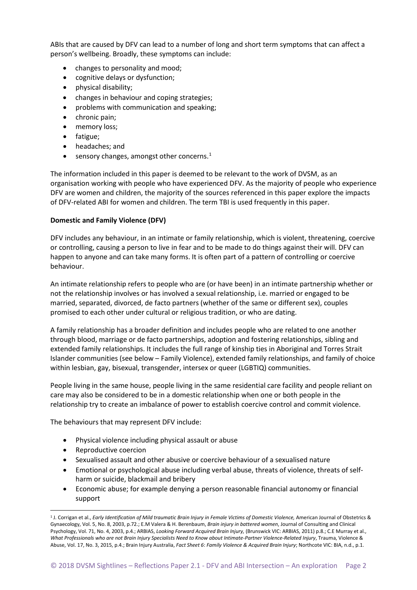ABIs that are caused by DFV can lead to a number of long and short term symptoms that can affect a person's wellbeing. Broadly, these symptoms can include:

- changes to personality and mood;
- cognitive delays or dysfunction;
- physical disability;
- changes in behaviour and coping strategies;
- problems with communication and speaking;
- chronic pain;
- memory loss;
- fatigue;
- headaches; and
- sensory changes, amongst other concerns.<sup>[1](#page-3-0)</sup>

The information included in this paper is deemed to be relevant to the work of DVSM, as an organisation working with people who have experienced DFV. As the majority of people who experience DFV are women and children, the majority of the sources referenced in this paper explore the impacts of DFV-related ABI for women and children. The term TBI is used frequently in this paper.

#### **Domestic and Family Violence (DFV)**

DFV includes any behaviour, in an intimate or family relationship, which is violent, threatening, coercive or controlling, causing a person to live in fear and to be made to do things against their will. DFV can happen to anyone and can take many forms. It is often part of a pattern of controlling or coercive behaviour.

An intimate relationship refers to people who are (or have been) in an intimate partnership whether or not the relationship involves or has involved a sexual relationship, i.e. married or engaged to be married, separated, divorced, de facto partners (whether of the same or different sex), couples promised to each other under cultural or religious tradition, or who are dating.

A family relationship has a broader definition and includes people who are related to one another through blood, marriage or de facto partnerships, adoption and fostering relationships, sibling and extended family relationships. It includes the full range of kinship ties in Aboriginal and Torres Strait Islander communities (see below – Family Violence), extended family relationships, and family of choice within lesbian, gay, bisexual, transgender, intersex or queer (LGBTIQ) communities.

People living in the same house, people living in the same residential care facility and people reliant on care may also be considered to be in a domestic relationship when one or both people in the relationship try to create an imbalance of power to establish coercive control and commit violence.

The behaviours that may represent DFV include:

- Physical violence including physical assault or abuse
- Reproductive coercion
- Sexualised assault and other abusive or coercive behaviour of a sexualised nature
- Emotional or psychological abuse including verbal abuse, threats of violence, threats of selfharm or suicide, blackmail and bribery
- Economic abuse; for example denying a person reasonable financial autonomy or financial support

<span id="page-3-0"></span> <sup>1</sup> J. Corrigan et al., *Early Identification of Mild traumatic Brain Injury in Female Victims of Domestic Violence,* American Journal of Obstetrics & Gynaecology, Vol. 5, No. 8, 2003, p.72.; E.M Valera & H. Berenbaum, *Brain injury in battered women*, Journal of Consulting and Clinical Psychology, Vol. 71, No. 4, 2003, p.4.; ARBIAS, *Looking Forward Acquired Brain Injury,* (Brunswick VIC: ARBIAS, 2011) p.8.; C.E Murray et al., *What Professionals who are not Brain Injury Specialists Need to Know about Intimate-Partner Violence-Related Injury*, Trauma, Violence & Abuse, Vol. 17, No. 3, 2015, p.4.; Brain Injury Australia, *Fact Sheet 6*: *Family Violence & Acquired Brain Injury*; Northcote VIC: BIA, n.d., p.1.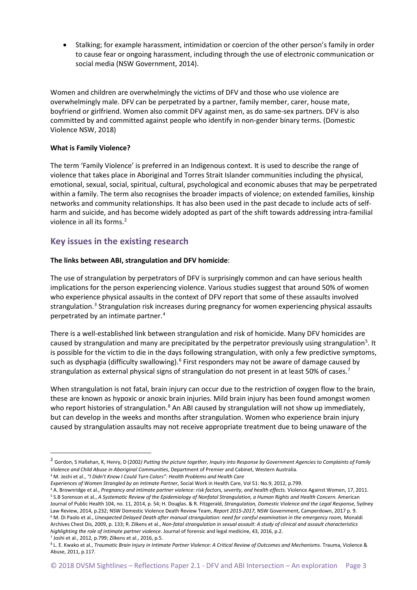• Stalking; for example harassment, intimidation or coercion of the other person's family in order to cause fear or ongoing harassment, including through the use of electronic communication or social media (NSW Government, 2014).

Women and children are overwhelmingly the victims of DFV and those who use violence are overwhelmingly male. DFV can be perpetrated by a partner, family member, carer, house mate, boyfriend or girlfriend. Women also commit DFV against men, as do same-sex partners. DFV is also committed by and committed against people who identify in non-gender binary terms. (Domestic Violence NSW, 2018)

#### **What is Family Violence?**

The term 'Family Violence' is preferred in an Indigenous context. It is used to describe the range of violence that takes place in Aboriginal and Torres Strait Islander communities including the physical, emotional, sexual, social, spiritual, cultural, psychological and economic abuses that may be perpetrated within a family. The term also recognises the broader impacts of violence; on extended families, kinship networks and community relationships. It has also been used in the past decade to include acts of selfharm and suicide, and has become widely adopted as part of the shift towards addressing intra-familial violence in all its forms.<sup>[2](#page-4-0)</sup>

#### **Key issues in the existing research**

#### **The links between ABI, strangulation and DFV homicide**:

The use of strangulation by perpetrators of DFV is surprisingly common and can have serious health implications for the person experiencing violence. Various studies suggest that around 50% of women who experience physical assaults in the context of DFV report that some of these assaults involved strangulation.<sup>[3](#page-4-1)</sup> Strangulation risk increases during pregnancy for women experiencing physical assaults perpetrated by an intimate partner. [4](#page-4-2)

There is a well-established link between strangulation and risk of homicide. Many DFV homicides are caused by strangulation and many are precipitated by the perpetrator previously using strangulation<sup>[5](#page-4-3)</sup>. It is possible for the victim to die in the days following strangulation, with only a few predictive symptoms, such as dysphagia (difficulty swallowing).<sup>[6](#page-4-4)</sup> First responders may not be aware of damage caused by strangulation as external physical signs of strangulation do not present in at least 50% of cases.<sup>[7](#page-4-5)</sup>

When strangulation is not fatal, brain injury can occur due to the restriction of oxygen flow to the brain, these are known as hypoxic or anoxic brain injuries. Mild brain injury has been found amongst women who report histories of strangulation.<sup>[8](#page-4-6)</sup> An ABI caused by strangulation will not show up immediately, but can develop in the weeks and months after strangulation. Women who experience brain injury caused by strangulation assaults may not receive appropriate treatment due to being unaware of the

<span id="page-4-3"></span><span id="page-4-2"></span><sup>4</sup> A. Brownridge et al., *Pregnancy and intimate partner violence: risk factors, severity, and health effects.* Violence Against Women, 17, 2011. <sup>5</sup> S.B Sorenson et al., *A Systematic Review of the Epidemiology of Nonfatal Strangulation, a Human Rights and Health Concern.* American Journal of Public Health 104, no. 11, 2014, p. 54; H. Douglas. & R. Fitzgerald, *Strangulation, Domestic Violence and the Legal Response,* Sydney Law Review, 2014, p.232; NSW Domestic Violence Death Review Team, *Report 2015-2017,* NSW Government, Camperdown, 2017 p. 9. <sup>6</sup> M. Di Paolo et al., *Unexpected Delayed Death after manual strangulation: need for careful examination in the emergency room,* Monaldi Archives Chest Dis, 2009, p. 133; R. Zilkens et al., *Non-fatal strangulation in sexual assault: A study of clinical and assault characteristics* 

<span id="page-4-4"></span>*highlighting the role of intimate partner violence*. Journal of forensic and legal medicine, 43, 2016, p.2. <sup>7</sup> Joshi et al., 2012, p.799; Zilkens et al., 2016, p.5.

<span id="page-4-0"></span> <sup>2</sup> Gordon, S Hallahan, K, Henry, D (2002*) Putting the picture together, Inquiry into Response by Government Agencies to Complaints of Family Violence and Child Abuse in Aboriginal Communities*, Department of Premier and Cabinet, Western Australia.

<span id="page-4-1"></span><sup>3</sup> M. Joshi et al., *"I Didn't Know I Could Turn Colors": Health Problems and Health Care*

*Experiences of Women Strangled by an Intimate Partner*, Social Work in Health Care, Vol 51: No.9, 2012, p.799.

<span id="page-4-6"></span><span id="page-4-5"></span><sup>8</sup> L. E. Kwako et al., *Traumatic Brain Injury in Intimate Partner Violence: A Critical Review of Outcomes and Mechanisms*. Trauma, Violence & Abuse, 2011, p.117.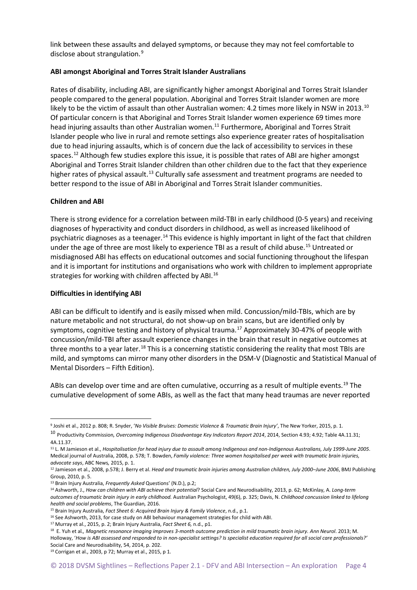link between these assaults and delayed symptoms, or because they may not feel comfortable to disclose about strangulation.<sup>[9](#page-5-0)</sup>

#### **ABI amongst Aboriginal and Torres Strait Islander Australians**

Rates of disability, including ABI, are significantly higher amongst Aboriginal and Torres Strait Islander people compared to the general population. Aboriginal and Torres Strait Islander women are more likely to be the victim of assault than other Australian women: 4.2 times more likely in NSW in 2013.<sup>[10](#page-5-1)</sup> Of particular concern is that Aboriginal and Torres Strait Islander women experience 69 times more head injuring assaults than other Australian women. [11](#page-5-2) Furthermore, Aboriginal and Torres Strait Islander people who live in rural and remote settings also experience greater rates of hospitalisation due to head injuring assaults, which is of concern due the lack of accessibility to services in these spaces.<sup>[12](#page-5-3)</sup> Although few studies explore this issue, it is possible that rates of ABI are higher amongst Aboriginal and Torres Strait Islander children than other children due to the fact that they experience higher rates of physical assault.<sup>[13](#page-5-4)</sup> Culturally safe assessment and treatment programs are needed to better respond to the issue of ABI in Aboriginal and Torres Strait Islander communities.

#### **Children and ABI**

There is strong evidence for a correlation between mild-TBI in early childhood (0-5 years) and receiving diagnoses of hyperactivity and conduct disorders in childhood, as well as increased likelihood of psychiatric diagnoses as a teenager.<sup>[14](#page-5-5)</sup> This evidence is highly important in light of the fact that children under the age of three are most likely to experience TBI as a result of child abuse. [15](#page-5-6) Untreated or misdiagnosed ABI has effects on educational outcomes and social functioning throughout the lifespan and it is important for institutions and organisations who work with children to implement appropriate strategies for working with children affected by ABI.<sup>[16](#page-5-7)</sup>

#### **Difficulties in identifying ABI**

ABI can be difficult to identify and is easily missed when mild. Concussion/mild-TBIs, which are by nature metabolic and not structural, do not show-up on brain scans, but are identified only by symptoms, cognitive testing and history of physical trauma.<sup>[17](#page-5-8)</sup> Approximately 30-47% of people with concussion/mild-TBI after assault experience changes in the brain that result in negative outcomes at three months to a year later.<sup>[18](#page-5-9)</sup> This is a concerning statistic considering the reality that most TBIs are mild, and symptoms can mirror many other disorders in the DSM-V (Diagnostic and Statistical Manual of Mental Disorders – Fifth Edition).

ABIs can develop over time and are often cumulative, occurring as a result of multiple events.<sup>[19](#page-5-10)</sup> The cumulative development of some ABIs, as well as the fact that many head traumas are never reported

```
19 Corrigan et al., 2003, p 72; Murray et al., 2015, p 1.
```
<span id="page-5-0"></span> <sup>9</sup> Joshi et al., <sup>2012</sup> p. 808; R. Snyder, '*No Visible Bruises: Domestic Violence & Traumatic Brain Injury'*, The New Yorker, 2015, p. 1.

<span id="page-5-1"></span><sup>10</sup> Productivity Commission*, Overcoming Indigenous Disadvantage Key Indicators Report 2014*, 2014, Section 4.93; 4.92; Table 4A.11.31; 4A.11.37.

<span id="page-5-2"></span><sup>11</sup> L. M Jamieson et al., *Hospitalisation for head injury due to assault among Indigenous and non-Indigenous Australians, July 1999-June 2005*. Medical journal of Australia, 2008, p. 578; T. Bowden, *Family violence: Three women hospitalised per week with traumatic brain injuries, advocate says*, ABC News*,* 2015, p. 1.

<span id="page-5-3"></span><sup>12</sup> Jamieson et al., 2008, p.578; J. Berry et al. *Head and traumatic brain injuries among Australian children, July 2000–June 2006*, BMJ Publishing Group, 2010, p. 5.

<span id="page-5-5"></span><span id="page-5-4"></span><sup>&</sup>lt;sup>13</sup> Brain Injury Australia, Frequently Asked Questions' (N.D.), p.2;<br><sup>14</sup> Ashworth, J., How can children with ABI achieve their potential? Social Care and Neurodisability, 2013, p. 62; McKinlay, A. Long-term *outcomes of traumatic brain injury in early childhood.* Australian Psychologist, 49(6), p. 325; Davis, N. *Childhood concussion linked to lifelong health and social problems*, The Guardian*,* 2016.

<span id="page-5-6"></span><sup>15</sup> Brain Injury Australia, *Fact Sheet 6: Acquired Brain Injury & Family Violence*, n.d., p.1.

<span id="page-5-7"></span><sup>&</sup>lt;sup>16</sup> See Ashworth, 2013, for case study on ABI behaviour management strategies for child with ABI.<br><sup>17</sup> Murray et al., 2015, p. 2; Brain Injury Australia, *Fact Sheet 6*, n.d., p1.

<span id="page-5-9"></span><span id="page-5-8"></span><sup>&</sup>lt;sup>18</sup> E. Yuh et al., Magnetic resonance imaging improves 3-month outcome prediction in mild traumatic brain injury. Ann Neurol. 2013; M. Holloway, '*How is ABI assessed and responded to in non-specialist settings? Is specialist education required for all social care professionals?'* Social Care and Neurodisability, 54, 2014, p. 202.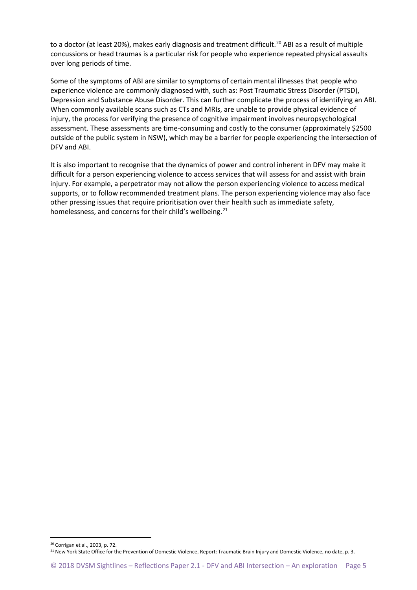to a doctor (at least [20](#page-6-0)%), makes early diagnosis and treatment difficult.<sup>20</sup> ABI as a result of multiple concussions or head traumas is a particular risk for people who experience repeated physical assaults over long periods of time.

Some of the symptoms of ABI are similar to symptoms of certain mental illnesses that people who experience violence are commonly diagnosed with, such as: Post Traumatic Stress Disorder (PTSD), Depression and Substance Abuse Disorder. This can further complicate the process of identifying an ABI. When commonly available scans such as CTs and MRIs, are unable to provide physical evidence of injury, the process for verifying the presence of cognitive impairment involves neuropsychological assessment. These assessments are time-consuming and costly to the consumer (approximately \$2500 outside of the public system in NSW), which may be a barrier for people experiencing the intersection of DFV and ABI.

It is also important to recognise that the dynamics of power and control inherent in DFV may make it difficult for a person experiencing violence to access services that will assess for and assist with brain injury. For example, a perpetrator may not allow the person experiencing violence to access medical supports, or to follow recommended treatment plans. The person experiencing violence may also face other pressing issues that require prioritisation over their health such as immediate safety, homelessness, and concerns for their child's wellbeing.<sup>[21](#page-6-1)</sup>

<span id="page-6-0"></span> <sup>20</sup> Corrigan et al., 2003, p. 72.

<span id="page-6-1"></span><sup>&</sup>lt;sup>21</sup> New York State Office for the Prevention of Domestic Violence, Report: Traumatic Brain Injury and Domestic Violence, no date, p. 3.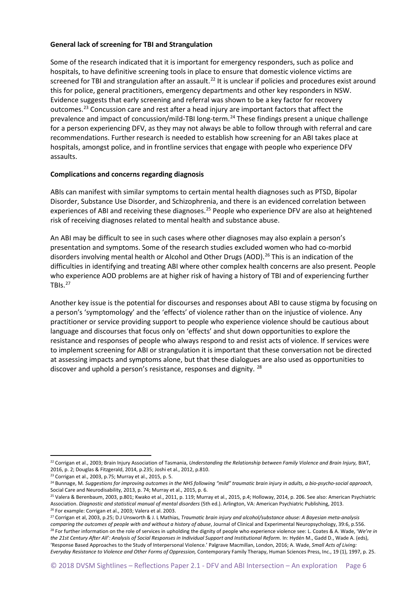#### **General lack of screening for TBI and Strangulation**

Some of the research indicated that it is important for emergency responders, such as police and hospitals, to have definitive screening tools in place to ensure that domestic violence victims are screened for TBI and strangulation after an assault.<sup>[22](#page-7-0)</sup> It is unclear if policies and procedures exist around this for police, general practitioners, emergency departments and other key responders in NSW. Evidence suggests that early screening and referral was shown to be a key factor for recovery outcomes.<sup>[23](#page-7-1)</sup> Concussion care and rest after a head injury are important factors that affect the prevalence and impact of concussion/mild-TBI long-term. [24](#page-7-2) These findings present a unique challenge for a person experiencing DFV, as they may not always be able to follow through with referral and care recommendations. Further research is needed to establish how screening for an ABI takes place at hospitals, amongst police, and in frontline services that engage with people who experience DFV assaults.

#### **Complications and concerns regarding diagnosis**

ABIs can manifest with similar symptoms to certain mental health diagnoses such as PTSD, Bipolar Disorder, Substance Use Disorder, and Schizophrenia, and there is an evidenced correlation between experiences of ABI and receiving these diagnoses.<sup>[25](#page-7-3)</sup> People who experience DFV are also at heightened risk of receiving diagnoses related to mental health and substance abuse.

An ABI may be difficult to see in such cases where other diagnoses may also explain a person's presentation and symptoms. Some of the research studies excluded women who had co-morbid disorders involving mental health or Alcohol and Other Drugs (AOD). [26](#page-7-4) This is an indication of the difficulties in identifying and treating ABI where other complex health concerns are also present. People who experience AOD problems are at higher risk of having a history of TBI and of experiencing further TBIs. $^{27}$  $^{27}$  $^{27}$ 

Another key issue is the potential for discourses and responses about ABI to cause stigma by focusing on a person's 'symptomology' and the 'effects' of violence rather than on the injustice of violence. Any practitioner or service providing support to people who experience violence should be cautious about language and discourses that focus only on 'effects' and shut down opportunities to explore the resistance and responses of people who always respond to and resist acts of violence. If services were to implement screening for ABI or strangulation it is important that these conversation not be directed at assessing impacts and symptoms alone, but that these dialogues are also used as opportunities to discover and uphold a person's resistance, responses and dignity. <sup>[28](#page-7-6)</sup>

<span id="page-7-0"></span> <sup>22</sup> Corrigan et al., 2003; Brain Injury Association of Tasmania, *Understanding the Relationship between Family Violence and Brain Injury,* BIAT, 2016, p. 2; Douglas & Fitzgerald, 2014, p.235; Joshi et al., 2012, p.810.

<sup>23</sup> Corrigan et al., 2003, p.75; Murray et al., 2015, p. 5.

<span id="page-7-2"></span><span id="page-7-1"></span><sup>24</sup> Bunnage, M*. Suggestions for improving outcomes in the NHS following "mild" traumatic brain injury in adults, a bio-psycho-social approach*, Social Care and Neurodisability, 2013, p. 74; Murray et al., 2015, p. 6.

<span id="page-7-3"></span><sup>25</sup> Valera & Berenbaum, 2003, p.801; Kwako et al., 2011, p. 119; Murray et al., 2015, p.4; Holloway, 2014, p. 206. See also: American Psychiatric Association. *Diagnostic and statistical manual of mental disorders* (5th ed.). Arlington, VA: American Psychiatric Publishing, 2013. <sup>26</sup> For example: Corrigan et al., 2003; Valera et al. 2003.

<span id="page-7-5"></span><span id="page-7-4"></span><sup>27</sup> Corrigan et al, 2003, p.25; D.J Unsworth & J. L Mathias, *Traumatic brain injury and alcohol/substance abuse: A Bayesian meta-analysis* 

<span id="page-7-6"></span>*comparing the outcomes of people with and without a history of abuse*, Journal of Clinical and Experimental Neuropsychology, 39:6, p.556. <sup>28</sup> For further information on the role of services in upholding the dignity of people who experience violence see: L. Coates & A. Wade, '*We're in the 21st Century After All': Analysis of Social Responses in Individual Support and Institutional Reform.* In: Hydén M., Gadd D., Wade A. (eds), 'Response Based Approaches to the Study of Interpersonal Violence.' Palgrave Macmillan, London, 2016; A. Wade, *Small Acts of Living: Everyday Resistance to Violence and Other Forms of Oppression,* Contemporary Family Therapy, Human Sciences Press, Inc., 19 (1), 1997, p. 25.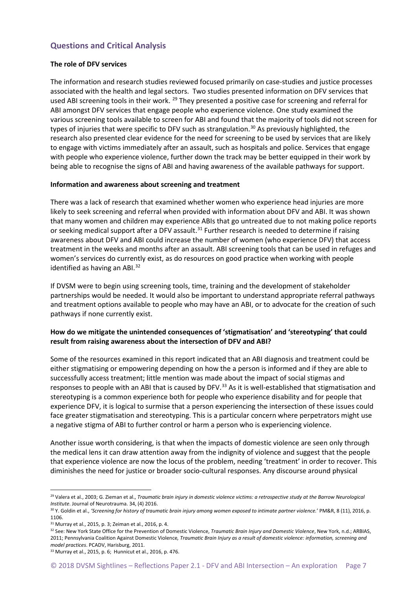#### **Questions and Critical Analysis**

#### **The role of DFV services**

The information and research studies reviewed focused primarily on case-studies and justice processes associated with the health and legal sectors. Two studies presented information on DFV services that used ABI screening tools in their work. <sup>[29](#page-8-0)</sup> They presented a positive case for screening and referral for ABI amongst DFV services that engage people who experience violence. One study examined the various screening tools available to screen for ABI and found that the majority of tools did not screen for types of injuries that were specific to DFV such as strangulation.<sup>[30](#page-8-1)</sup> As previously highlighted, the research also presented clear evidence for the need for screening to be used by services that are likely to engage with victims immediately after an assault, such as hospitals and police. Services that engage with people who experience violence, further down the track may be better equipped in their work by being able to recognise the signs of ABI and having awareness of the available pathways for support.

#### **Information and awareness about screening and treatment**

There was a lack of research that examined whether women who experience head injuries are more likely to seek screening and referral when provided with information about DFV and ABI. It was shown that many women and children may experience ABIs that go untreated due to not making police reports or seeking medical support after a DFV assault.<sup>[31](#page-8-2)</sup> Further research is needed to determine if raising awareness about DFV and ABI could increase the number of women (who experience DFV) that access treatment in the weeks and months after an assault. ABI screening tools that can be used in refuges and women's services do currently exist, as do resources on good practice when working with people identified as having an ABI.<sup>[32](#page-8-3)</sup>

If DVSM were to begin using screening tools, time, training and the development of stakeholder partnerships would be needed. It would also be important to understand appropriate referral pathways and treatment options available to people who may have an ABI, or to advocate for the creation of such pathways if none currently exist.

#### **How do we mitigate the unintended consequences of 'stigmatisation' and 'stereotyping' that could result from raising awareness about the intersection of DFV and ABI?**

Some of the resources examined in this report indicated that an ABI diagnosis and treatment could be either stigmatising or empowering depending on how the a person is informed and if they are able to successfully access treatment; little mention was made about the impact of social stigmas and responses to people with an ABI that is caused by DFV.<sup>[33](#page-8-4)</sup> As it is well-established that stigmatisation and stereotyping is a common experience both for people who experience disability and for people that experience DFV, it is logical to surmise that a person experiencing the intersection of these issues could face greater stigmatisation and stereotyping. This is a particular concern where perpetrators might use a negative stigma of ABI to further control or harm a person who is experiencing violence.

Another issue worth considering, is that when the impacts of domestic violence are seen only through the medical lens it can draw attention away from the indignity of violence and suggest that the people that experience violence are now the locus of the problem, needing 'treatment' in order to recover. This diminishes the need for justice or broader socio-cultural responses. Any discourse around physical

<span id="page-8-0"></span> <sup>29</sup> Valera et al., 2003; G. Zieman et al., *Traumatic brain injury in domestic violence victims: a retrospective study at the Barrow Neurological Institute*. Journal of Neurotrauma. 34, (4) 2016.

<span id="page-8-1"></span><sup>30</sup> Y. Goldin et al., *'Screening for history of traumatic brain injury among women exposed to intimate partner violence.*' PM&R, 8 (11), 2016, p. 1106.

<span id="page-8-2"></span><sup>31</sup> Murray et al., 2015, p. 3; Zeiman et al., 2016, p. 4.

<span id="page-8-3"></span><sup>32</sup> See: New York State Office for the Prevention of Domestic Violence, *Traumatic Brain Injury and Domestic Violence*, New York, n.d.; ARBIAS, 2011; Pennsylvania Coalition Against Domestic Violence*, Traumatic Brain Injury as a result of domestic violence: information, screening and model practices*. PCADV, Harisburg, 2011.

<span id="page-8-4"></span><sup>33</sup> Murray et al., 2015, p. 6; Hunnicut et al., 2016, p. 476.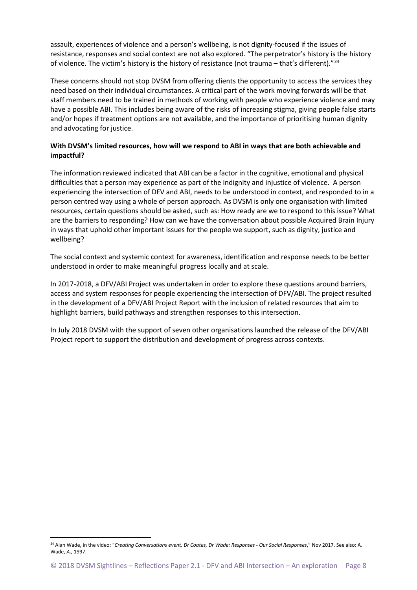assault, experiences of violence and a person's wellbeing, is not dignity-focused if the issues of resistance, responses and social context are not also explored. "The perpetrator's history is the history of violence. The victim's history is the history of resistance (not trauma – that's different)."[34](#page-9-0)

These concerns should not stop DVSM from offering clients the opportunity to access the services they need based on their individual circumstances. A critical part of the work moving forwards will be that staff members need to be trained in methods of working with people who experience violence and may have a possible ABI. This includes being aware of the risks of increasing stigma, giving people false starts and/or hopes if treatment options are not available, and the importance of prioritising human dignity and advocating for justice.

#### **With DVSM's limited resources, how will we respond to ABI in ways that are both achievable and impactful?**

The information reviewed indicated that ABI can be a factor in the cognitive, emotional and physical difficulties that a person may experience as part of the indignity and injustice of violence. A person experiencing the intersection of DFV and ABI, needs to be understood in context, and responded to in a person centred way using a whole of person approach. As DVSM is only one organisation with limited resources, certain questions should be asked, such as: How ready are we to respond to this issue? What are the barriers to responding? How can we have the conversation about possible Acquired Brain Injury in ways that uphold other important issues for the people we support, such as dignity, justice and wellbeing?

The social context and systemic context for awareness, identification and response needs to be better understood in order to make meaningful progress locally and at scale.

In 2017-2018, a DFV/ABI Project was undertaken in order to explore these questions around barriers, access and system responses for people experiencing the intersection of DFV/ABI. The project resulted in the development of a DFV/ABI Project Report with the inclusion of related resources that aim to highlight barriers, build pathways and strengthen responses to this intersection.

In July 2018 DVSM with the support of seven other organisations launched the release of the DFV/ABI Project report to support the distribution and development of progress across contexts.

<span id="page-9-0"></span> <sup>34</sup> Alan Wade, in the video: "*Creating Conversations event, Dr Coates, Dr Wade: Responses - Our Social Responses*," Nov 2017. See also: A. Wade, *A.,* 1997.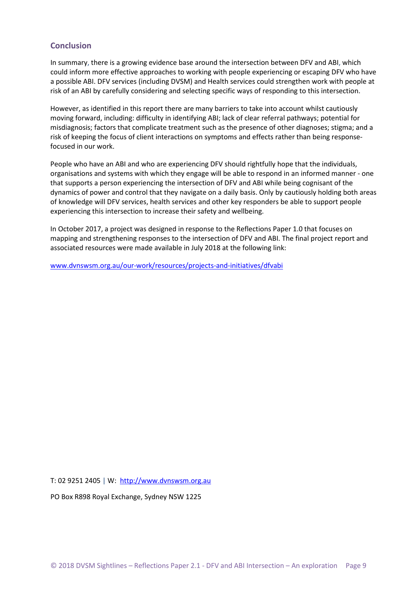#### **Conclusion**

In summary, there is a growing evidence base around the intersection between DFV and ABI, which could inform more effective approaches to working with people experiencing or escaping DFV who have a possible ABI. DFV services (including DVSM) and Health services could strengthen work with people at risk of an ABI by carefully considering and selecting specific ways of responding to this intersection.

However, as identified in this report there are many barriers to take into account whilst cautiously moving forward, including: difficulty in identifying ABI; lack of clear referral pathways; potential for misdiagnosis; factors that complicate treatment such as the presence of other diagnoses; stigma; and a risk of keeping the focus of client interactions on symptoms and effects rather than being responsefocused in our work.

People who have an ABI and who are experiencing DFV should rightfully hope that the individuals, organisations and systems with which they engage will be able to respond in an informed manner - one that supports a person experiencing the intersection of DFV and ABI while being cognisant of the dynamics of power and control that they navigate on a daily basis. Only by cautiously holding both areas of knowledge will DFV services, health services and other key responders be able to support people experiencing this intersection to increase their safety and wellbeing.

In October 2017, a project was designed in response to the Reflections Paper 1.0 that focuses on mapping and strengthening responses to the intersection of DFV and ABI. The final project report and associated resources were made available in July 2018 at the following link:

[www.dvnswsm.org.au/our-work/resources/projects-and-initiatives/dfvabi](http://www.dvnswsm.org.au/our-work/resources/projects-and-initiatives/dfvabi)

T: 02 9251 2405 | W: [http://www.dvnswsm.org.au](http://www.dvnswsm.org.au/)

PO Box R898 Royal Exchange, Sydney NSW 1225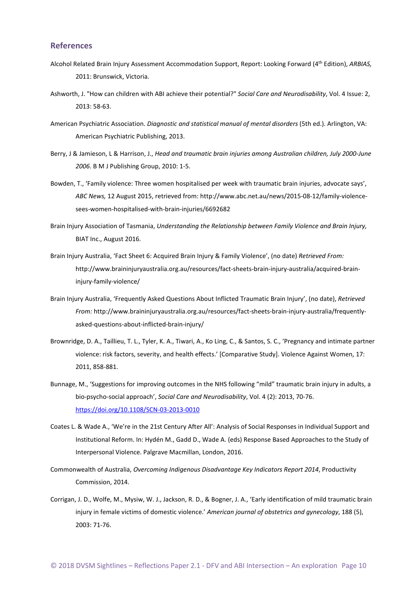#### **References**

- Alcohol Related Brain Injury Assessment Accommodation Support, Report: Looking Forward (4th Edition), *ARBIAS,* 2011: Brunswick, Victoria.
- Ashworth, J. "How can children with ABI achieve their potential?" *Social Care and Neurodisability*, Vol. 4 Issue: 2, 2013: 58-63.
- American Psychiatric Association. *Diagnostic and statistical manual of mental disorders* (5th ed.). Arlington, VA: American Psychiatric Publishing, 2013.
- Berry, J & Jamieson, L & Harrison, J., *Head and traumatic brain injuries among Australian children, July 2000-June 2006*. B M J Publishing Group, 2010: 1-5.
- Bowden, T., 'Family violence: Three women hospitalised per week with traumatic brain injuries, advocate says', *ABC News,* 12 August 2015, retrieved from: http://www.abc.net.au/news/2015-08-12/family-violencesees-women-hospitalised-with-brain-injuries/6692682
- Brain Injury Association of Tasmania, *Understanding the Relationship between Family Violence and Brain Injury,* BIAT Inc., August 2016.
- Brain Injury Australia, 'Fact Sheet 6: Acquired Brain Injury & Family Violence', (no date) *Retrieved From:* [http://www.braininjuryaustralia.org.au/resources/fact-sheets-brain-injury-australia/acquired-brain](http://www.braininjuryaustralia.org.au/resources/fact-sheets-brain-injury-australia/acquired-brain-injury-family-violence/)[injury-family-violence/](http://www.braininjuryaustralia.org.au/resources/fact-sheets-brain-injury-australia/acquired-brain-injury-family-violence/)
- Brain Injury Australia, 'Frequently Asked Questions About Inflicted Traumatic Brain Injury', (no date), *Retrieved From:* [http://www.braininjuryaustralia.org.au/resources/fact-sheets-brain-injury-australia/frequently](http://www.braininjuryaustralia.org.au/resources/fact-sheets-brain-injury-australia/frequently-asked-questions-about-inflicted-brain-injury/)[asked-questions-about-inflicted-brain-injury/](http://www.braininjuryaustralia.org.au/resources/fact-sheets-brain-injury-australia/frequently-asked-questions-about-inflicted-brain-injury/)
- Brownridge, D. A., Taillieu, T. L., Tyler, K. A., Tiwari, A., Ko Ling, C., & Santos, S. C., 'Pregnancy and intimate partner violence: risk factors, severity, and health effects.' [Comparative Study]. Violence Against Women, 17: 2011, 858-881.
- Bunnage, M., 'Suggestions for improving outcomes in the NHS following "mild" traumatic brain injury in adults, a bio-psycho-social approach', *Social Care and Neurodisability*, Vol. 4 (2): 2013, 70-76. <https://doi.org/10.1108/SCN-03-2013-0010>
- Coates L. & Wade A., 'We're in the 21st Century After All': Analysis of Social Responses in Individual Support and Institutional Reform. In: Hydén M., Gadd D., Wade A. (eds) Response Based Approaches to the Study of Interpersonal Violence. Palgrave Macmillan, London, 2016.
- Commonwealth of Australia, *Overcoming Indigenous Disadvantage Key Indicators Report 2014*, Productivity Commission, 2014.
- Corrigan, J. D., Wolfe, M., Mysiw, W. J., Jackson, R. D., & Bogner, J. A., 'Early identification of mild traumatic brain injury in female victims of domestic violence.' *American journal of obstetrics and gynecology*, 188 (5), 2003: 71-76.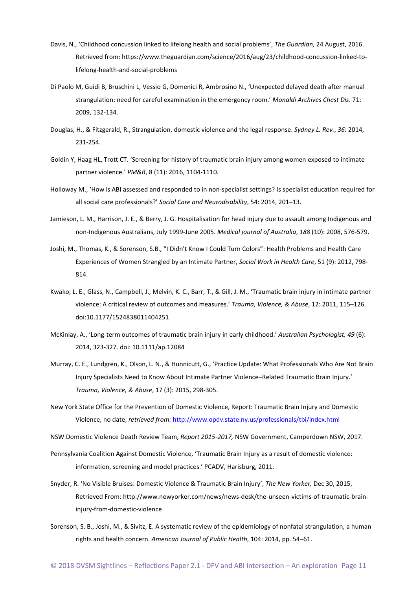- Davis, N., 'Childhood concussion linked to lifelong health and social problems', *The Guardian,* 24 August, 2016. Retrieved from: [https://www.theguardian.com/science/2016/aug/23/childhood-concussion-linked-to](https://www.theguardian.com/science/2016/aug/23/childhood-concussion-linked-to-lifelong-health-and-social-problems)[lifelong-health-and-social-problems](https://www.theguardian.com/science/2016/aug/23/childhood-concussion-linked-to-lifelong-health-and-social-problems)
- Di Paolo M, Guidi B, Bruschini L, Vessio G, Domenici R, Ambrosino N., 'Unexpected delayed death after manual strangulation: need for careful examination in the emergency room.' *Monaldi Archives Chest Dis*. 71: 2009, 132-134.
- Douglas, H., & Fitzgerald, R., Strangulation, domestic violence and the legal response. *Sydney L. Rev.*, *36*: 2014, 231-254.
- Goldin Y, Haag HL, Trott CT. 'Screening for history of traumatic brain injury among women exposed to intimate partner violence.' *PM&R*, 8 (11): 2016, 1104-1110.
- Holloway M., 'How is ABI assessed and responded to in non-specialist settings? Is specialist education required for all social care professionals?' *Social Care and Neurodisability*, 54: 2014, 201–13.
- Jamieson, L. M., Harrison, J. E., & Berry, J. G. Hospitalisation for head injury due to assault among Indigenous and non-Indigenous Australians, July 1999-June 2005. *Medical journal of Australia*, *188* (10): 2008, 576-579.
- Joshi, M., Thomas, K., & Sorenson, S.B., "I Didn't Know I Could Turn Colors": Health Problems and Health Care Experiences of Women Strangled by an Intimate Partner, *Social Work in Health Care*, 51 (9): 2012, 798- 814.
- Kwako, L. E., Glass, N., Campbell, J., Melvin, K. C., Barr, T., & Gill, J. M., 'Traumatic brain injury in intimate partner violence: A critical review of outcomes and measures.' *Trauma, Violence, & Abuse*, 12: 2011, 115–126. doi:10.1177/1524838011404251
- McKinlay, A., 'Long-term outcomes of traumatic brain injury in early childhood.' *Australian Psychologist, 49* (6): 2014, 323-327. doi: 10.1111/ap.12084
- Murray, C. E., Lundgren, K., Olson, L. N., & Hunnicutt, G., 'Practice Update: What Professionals Who Are Not Brain Injury Specialists Need to Know About Intimate Partner Violence–Related Traumatic Brain Injury.' *Trauma, Violence, & Abuse*, 17 (3): 2015, 298-305.
- New York State Office for the Prevention of Domestic Violence, Report: Traumatic Brain Injury and Domestic Violence, no date, *retrieved from:* <http://www.opdv.state.ny.us/professionals/tbi/index.html>

NSW Domestic Violence Death Review Team, *Report 2015-2017,* NSW Government, Camperdown NSW, 2017.

- Pennsylvania Coalition Against Domestic Violence, 'Traumatic Brain Injury as a result of domestic violence: information, screening and model practices.' PCADV, Harisburg, 2011.
- Snyder, R. 'No Visible Bruises: Domestic Violence & Traumatic Brain Injury', *The New Yorker,* Dec 30, 2015, Retrieved From: [http://www.newyorker.com/news/news-desk/the-unseen-victims-of-traumatic-brain](http://www.newyorker.com/news/news-desk/the-unseen-victims-of-traumatic-brain-injury-from-domestic-violence)[injury-from-domestic-violence](http://www.newyorker.com/news/news-desk/the-unseen-victims-of-traumatic-brain-injury-from-domestic-violence)
- Sorenson, S. B., Joshi, M., & Sivitz, E. A systematic review of the epidemiology of nonfatal strangulation, a human rights and health concern. *American Journal of Public Health*, 104: 2014, pp. 54–61.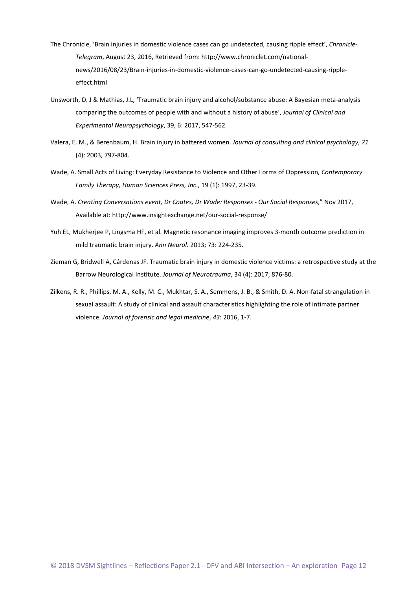- The Chronicle, 'Brain injuries in domestic violence cases can go undetected, causing ripple effect', *Chronicle-Telegram*, August 23, 2016, Retrieved from: http://www.chroniclet.com/nationalnews/2016/08/23/Brain-injuries-in-domestic-violence-cases-can-go-undetected-causing-rippleeffect.html
- Unsworth, D. J & Mathias, J.L, 'Traumatic brain injury and alcohol/substance abuse: A Bayesian meta-analysis comparing the outcomes of people with and without a history of abuse', *Journal of Clinical and Experimental Neuropsychology*, 39, 6: 2017, 547-562
- Valera, E. M., & Berenbaum, H. Brain injury in battered women. *Journal of consulting and clinical psychology*, *71* (4): 2003, 797-804.
- Wade, A. Small Acts of Living: Everyday Resistance to Violence and Other Forms of Oppression*, Contemporary Family Therapy, Human Sciences Press, Inc*., 19 (1): 1997, 23-39.
- Wade, A. *Creating Conversations event, Dr Coates, Dr Wade: Responses - Our Social Responses*," Nov 2017, Available at: http://www.insightexchange.net/our-social-response/
- Yuh EL, Mukherjee P, Lingsma HF, et al. Magnetic resonance imaging improves 3-month outcome prediction in mild traumatic brain injury. *Ann Neurol*. 2013; 73: 224-235.
- Zieman G, Bridwell A, Cárdenas JF. Traumatic brain injury in domestic violence victims: a retrospective study at the Barrow Neurological Institute. *Journal of Neurotrauma*, 34 (4): 2017, 876-80.
- Zilkens, R. R., Phillips, M. A., Kelly, M. C., Mukhtar, S. A., Semmens, J. B., & Smith, D. A. Non-fatal strangulation in sexual assault: A study of clinical and assault characteristics highlighting the role of intimate partner violence. *Journal of forensic and legal medicine*, *43*: 2016, 1-7.